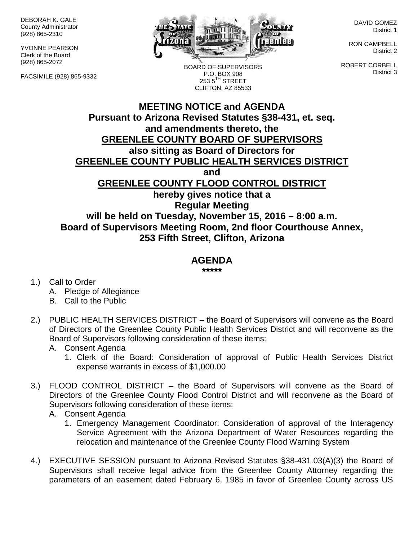DEBORAH K. GALE County Administrator (928) 865-2310

YVONNE PEARSON Clerk of the Board (928) 865-2072

FACSIMILE (928) 865-9332



BOARD OF SUPERVISORS P.O. BOX 908  $2535^{\text{TH}}$  STREET CLIFTON, AZ 85533

DAVID GOMEZ District 1

RON CAMPBELL District 2

ROBERT CORBELL District 3

## **MEETING NOTICE and AGENDA Pursuant to Arizona Revised Statutes §38-431, et. seq. and amendments thereto, the GREENLEE COUNTY BOARD OF SUPERVISORS also sitting as Board of Directors for GREENLEE COUNTY PUBLIC HEALTH SERVICES DISTRICT and GREENLEE COUNTY FLOOD CONTROL DISTRICT hereby gives notice that a Regular Meeting will be held on Tuesday, November 15, 2016 – 8:00 a.m. Board of Supervisors Meeting Room, 2nd floor Courthouse Annex, 253 Fifth Street, Clifton, Arizona**

## **AGENDA**

**\*\*\*\*\***

- 1.) Call to Order
	- A. Pledge of Allegiance
	- B. Call to the Public
- 2.) PUBLIC HEALTH SERVICES DISTRICT the Board of Supervisors will convene as the Board of Directors of the Greenlee County Public Health Services District and will reconvene as the Board of Supervisors following consideration of these items:
	- A. Consent Agenda
		- 1. Clerk of the Board: Consideration of approval of Public Health Services District expense warrants in excess of \$1,000.00
- 3.) FLOOD CONTROL DISTRICT the Board of Supervisors will convene as the Board of Directors of the Greenlee County Flood Control District and will reconvene as the Board of Supervisors following consideration of these items:
	- A. Consent Agenda
		- 1. Emergency Management Coordinator: Consideration of approval of the Interagency Service Agreement with the Arizona Department of Water Resources regarding the relocation and maintenance of the Greenlee County Flood Warning System
- 4.) EXECUTIVE SESSION pursuant to Arizona Revised Statutes §38-431.03(A)(3) the Board of Supervisors shall receive legal advice from the Greenlee County Attorney regarding the parameters of an easement dated February 6, 1985 in favor of Greenlee County across US